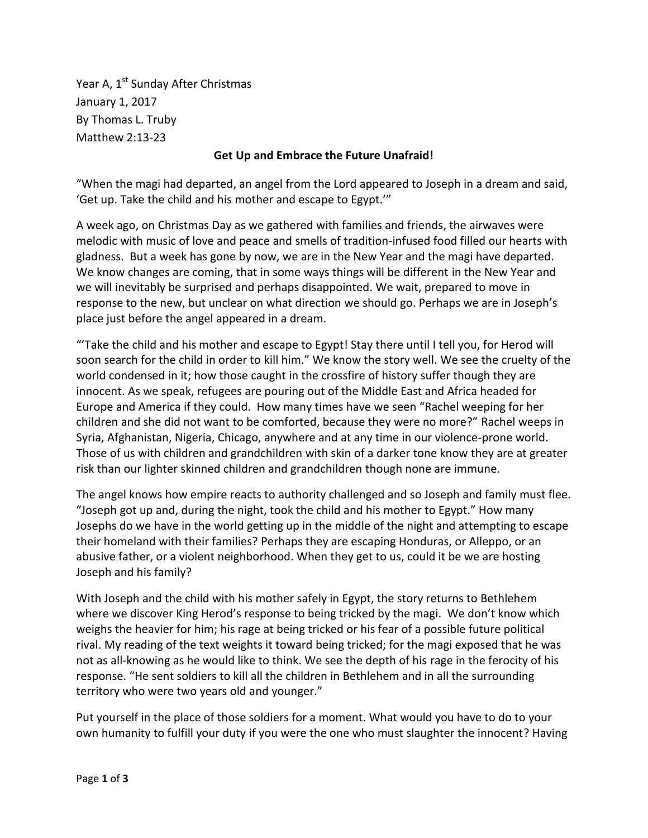Year A, 1<sup>st</sup> Sunday After Christmas January 1, 2017 By Thomas L. Truby Matthew 2:13-23

## **Get Up and Embrace the Future Unafraid!**

"When the magi had departed, an angel from the Lord appeared to Joseph in a dream and said, 'Get up. Take the child and his mother and escape to Egypt.'"

A week ago, on Christmas Day as we gathered with families and friends, the airwaves were melodic with music of love and peace and smells of tradition-infused food filled our hearts with gladness. But a week has gone by now, we are in the New Year and the magi have departed. We know changes are coming, that in some ways things will be different in the New Year and we will inevitably be surprised and perhaps disappointed. We wait, prepared to move in response to the new, but unclear on what direction we should go. Perhaps we are in Joseph's place just before the angel appeared in a dream.

"'Take the child and his mother and escape to Egypt! Stay there until I tell you, for Herod will soon search for the child in order to kill him." We know the story well. We see the cruelty of the world condensed in it; how those caught in the crossfire of history suffer though they are innocent. As we speak, refugees are pouring out of the Middle East and Africa headed for Europe and America if they could. How many times have we seen "Rachel weeping for her children and she did not want to be comforted, because they were no more?" Rachel weeps in Syria, Afghanistan, Nigeria, Chicago, anywhere and at any time in our violence-prone world. Those of us with children and grandchildren with skin of a darker tone know they are at greater risk than our lighter skinned children and grandchildren though none are immune.

The angel knows how empire reacts to authority challenged and so Joseph and family must flee. "Joseph got up and, during the night, took the child and his mother to Egypt." How many Josephs do we have in the world getting up in the middle of the night and attempting to escape their homeland with their families? Perhaps they are escaping Honduras, or Alleppo, or an abusive father, or a violent neighborhood. When they get to us, could it be we are hosting Joseph and his family?

With Joseph and the child with his mother safely in Egypt, the story returns to Bethlehem where we discover King Herod's response to being tricked by the magi. We don't know which weighs the heavier for him; his rage at being tricked or his fear of a possible future political rival. My reading of the text weights it toward being tricked; for the magi exposed that he was not as all-knowing as he would like to think. We see the depth of his rage in the ferocity of his response. "He sent soldiers to kill all the children in Bethlehem and in all the surrounding territory who were two years old and younger."

Put yourself in the place of those soldiers for a moment. What would you have to do to your own humanity to fulfill your duty if you were the one who must slaughter the innocent? Having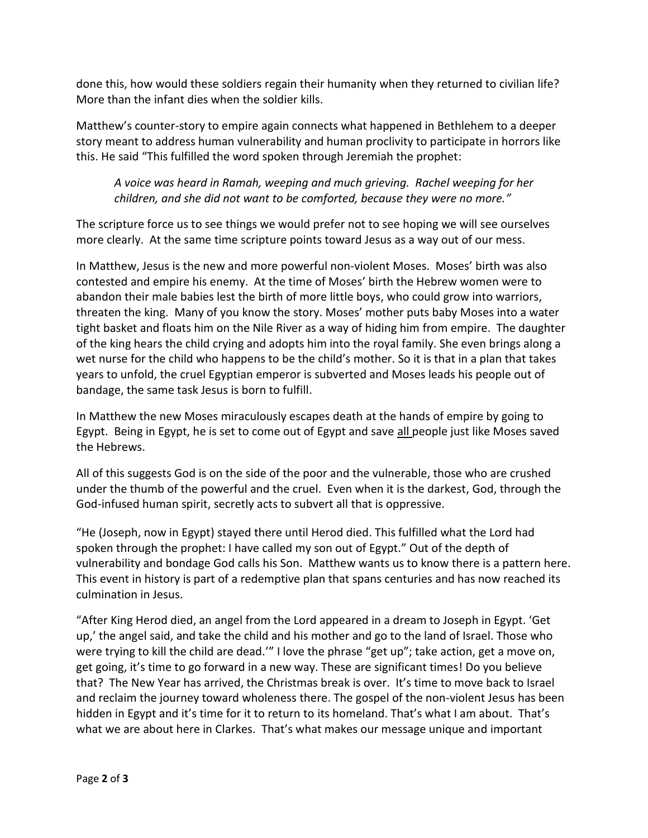done this, how would these soldiers regain their humanity when they returned to civilian life? More than the infant dies when the soldier kills.

Matthew's counter-story to empire again connects what happened in Bethlehem to a deeper story meant to address human vulnerability and human proclivity to participate in horrors like this. He said "This fulfilled the word spoken through Jeremiah the prophet:

## *A voice was heard in Ramah, weeping and much grieving. Rachel weeping for her children, and she did not want to be comforted, because they were no more."*

The scripture force us to see things we would prefer not to see hoping we will see ourselves more clearly. At the same time scripture points toward Jesus as a way out of our mess.

In Matthew, Jesus is the new and more powerful non-violent Moses. Moses' birth was also contested and empire his enemy. At the time of Moses' birth the Hebrew women were to abandon their male babies lest the birth of more little boys, who could grow into warriors, threaten the king. Many of you know the story. Moses' mother puts baby Moses into a water tight basket and floats him on the Nile River as a way of hiding him from empire. The daughter of the king hears the child crying and adopts him into the royal family. She even brings along a wet nurse for the child who happens to be the child's mother. So it is that in a plan that takes years to unfold, the cruel Egyptian emperor is subverted and Moses leads his people out of bandage, the same task Jesus is born to fulfill.

In Matthew the new Moses miraculously escapes death at the hands of empire by going to Egypt. Being in Egypt, he is set to come out of Egypt and save all people just like Moses saved the Hebrews.

All of this suggests God is on the side of the poor and the vulnerable, those who are crushed under the thumb of the powerful and the cruel. Even when it is the darkest, God, through the God-infused human spirit, secretly acts to subvert all that is oppressive.

"He (Joseph, now in Egypt) stayed there until Herod died. This fulfilled what the Lord had spoken through the prophet: I have called my son out of Egypt." Out of the depth of vulnerability and bondage God calls his Son. Matthew wants us to know there is a pattern here. This event in history is part of a redemptive plan that spans centuries and has now reached its culmination in Jesus.

"After King Herod died, an angel from the Lord appeared in a dream to Joseph in Egypt. 'Get up,' the angel said, and take the child and his mother and go to the land of Israel. Those who were trying to kill the child are dead.'" I love the phrase "get up"; take action, get a move on, get going, it's time to go forward in a new way. These are significant times! Do you believe that? The New Year has arrived, the Christmas break is over. It's time to move back to Israel and reclaim the journey toward wholeness there. The gospel of the non-violent Jesus has been hidden in Egypt and it's time for it to return to its homeland. That's what I am about. That's what we are about here in Clarkes. That's what makes our message unique and important